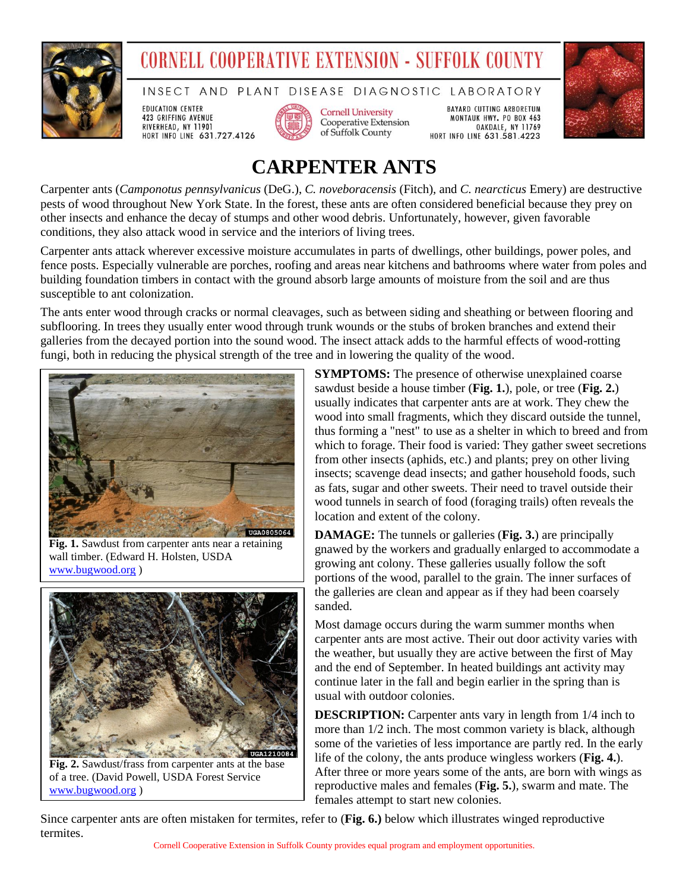

## **CORNELL COOPERATIVE EXTENSION - SUFFOLK COUNTY**

INSECT AND PLANT DISEASE DIAGNOSTIC LABORATORY

**EDUCATION CENTER** 423 GRIFFING AVENUE RIVERHEAD, NY 11901 HORT INFO LINE 631.727.4126



**Cornell University** Cooperative Extension of Suffolk County

**BAYARD CUTTING ARBORETUM** MONTAUK HWY. PO BOX 463 OAKDALE, NY 11769 HORT INFO LINE 631.581.4223



## **CARPENTER ANTS**

Carpenter ants (*Camponotus pennsylvanicus* (DeG.), *C. noveboracensis* (Fitch), and *C. nearcticus* Emery) are destructive pests of wood throughout New York State. In the forest, these ants are often considered beneficial because they prey on other insects and enhance the decay of stumps and other wood debris. Unfortunately, however, given favorable conditions, they also attack wood in service and the interiors of living trees.

Carpenter ants attack wherever excessive moisture accumulates in parts of dwellings, other buildings, power poles, and fence posts. Especially vulnerable are porches, roofing and areas near kitchens and bathrooms where water from poles and building foundation timbers in contact with the ground absorb large amounts of moisture from the soil and are thus susceptible to ant colonization.

The ants enter wood through cracks or normal cleavages, such as between siding and sheathing or between flooring and subflooring. In trees they usually enter wood through trunk wounds or the stubs of broken branches and extend their galleries from the decayed portion into the sound wood. The insect attack adds to the harmful effects of wood-rotting fungi, both in reducing the physical strength of the tree and in lowering the quality of the wood.



**Fig. 1.** Sawdust from carpenter ants near a retaining wall timber. (Edward H. Holsten, USDA [www.bugwood.org](http://www.bugwood.org/) )



**Fig. 2.** Sawdust/frass from carpenter ants at the base of a tree. (David Powell, USDA Forest Service [www.bugwood.org](http://www.bugwood.org/) )

**SYMPTOMS:** The presence of otherwise unexplained coarse sawdust beside a house timber (**Fig. 1.**), pole, or tree (**Fig. 2.**) usually indicates that carpenter ants are at work. They chew the wood into small fragments, which they discard outside the tunnel, thus forming a "nest" to use as a shelter in which to breed and from which to forage. Their food is varied: They gather sweet secretions from other insects (aphids, etc.) and plants; prey on other living insects; scavenge dead insects; and gather household foods, such as fats, sugar and other sweets. Their need to travel outside their wood tunnels in search of food (foraging trails) often reveals the location and extent of the colony.

**DAMAGE:** The tunnels or galleries (**Fig. 3.**) are principally gnawed by the workers and gradually enlarged to accommodate a growing ant colony. These galleries usually follow the soft portions of the wood, parallel to the grain. The inner surfaces of the galleries are clean and appear as if they had been coarsely sanded.

Most damage occurs during the warm summer months when carpenter ants are most active. Their out door activity varies with the weather, but usually they are active between the first of May and the end of September. In heated buildings ant activity may continue later in the fall and begin earlier in the spring than is usual with outdoor colonies.

**DESCRIPTION:** Carpenter ants vary in length from 1/4 inch to more than 1/2 inch. The most common variety is black, although some of the varieties of less importance are partly red. In the early life of the colony, the ants produce wingless workers (**Fig. 4.**). After three or more years some of the ants, are born with wings as reproductive males and females (**Fig. 5.**), swarm and mate. The females attempt to start new colonies.

Since carpenter ants are often mistaken for termites, refer to (**Fig. 6.)** below which illustrates winged reproductive termites.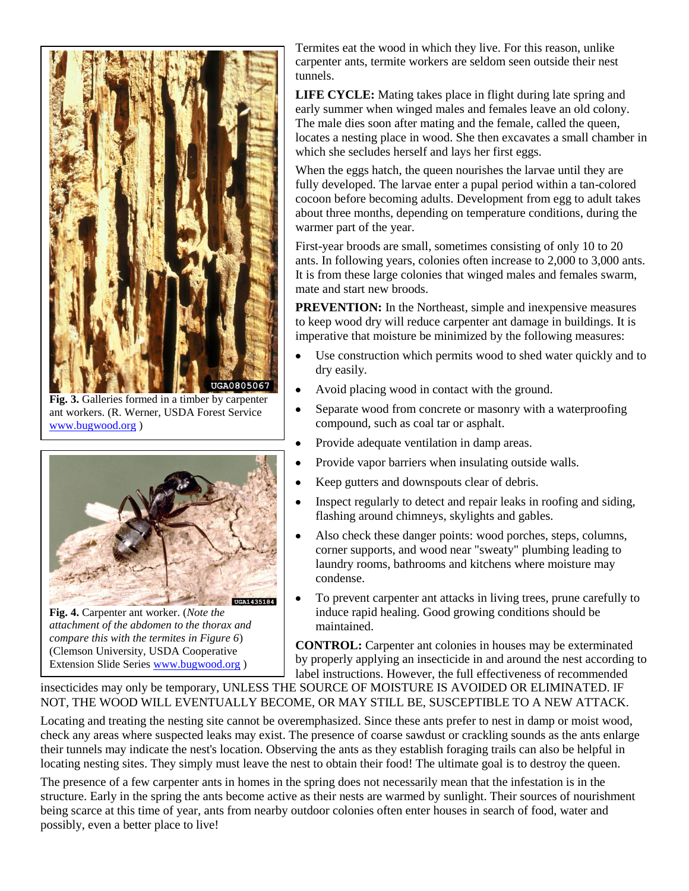

**Fig. 3.** Galleries formed in a timber by carpenter ant workers. (R. Werner, USDA Forest Service [www.bugwood.org](http://www.bugwood.org/) )



**Fig. 4.** Carpenter ant worker. (*Note the attachment of the abdomen to the thorax and compare this with the termites in Figure 6*) (Clemson University, USDA Cooperative Extension Slide Series [www.bugwood.org](http://www.bugwood.org/) )

Termites eat the wood in which they live. For this reason, unlike carpenter ants, termite workers are seldom seen outside their nest tunnels.

**LIFE CYCLE:** Mating takes place in flight during late spring and early summer when winged males and females leave an old colony. The male dies soon after mating and the female, called the queen, locates a nesting place in wood. She then excavates a small chamber in which she secludes herself and lays her first eggs.

When the eggs hatch, the queen nourishes the larvae until they are fully developed. The larvae enter a pupal period within a tan-colored cocoon before becoming adults. Development from egg to adult takes about three months, depending on temperature conditions, during the warmer part of the year.

First-year broods are small, sometimes consisting of only 10 to 20 ants. In following years, colonies often increase to 2,000 to 3,000 ants. It is from these large colonies that winged males and females swarm, mate and start new broods.

**PREVENTION:** In the Northeast, simple and inexpensive measures to keep wood dry will reduce carpenter ant damage in buildings. It is imperative that moisture be minimized by the following measures:

- $\bullet$ Use construction which permits wood to shed water quickly and to dry easily.
- $\bullet$ Avoid placing wood in contact with the ground.
- $\bullet$ Separate wood from concrete or masonry with a waterproofing compound, such as coal tar or asphalt.
- $\bullet$ Provide adequate ventilation in damp areas.
- Provide vapor barriers when insulating outside walls.
- Keep gutters and downspouts clear of debris.
- Inspect regularly to detect and repair leaks in roofing and siding, flashing around chimneys, skylights and gables.
- Also check these danger points: wood porches, steps, columns, corner supports, and wood near "sweaty" plumbing leading to laundry rooms, bathrooms and kitchens where moisture may condense.
- To prevent carpenter ant attacks in living trees, prune carefully to induce rapid healing. Good growing conditions should be maintained.

**CONTROL:** Carpenter ant colonies in houses may be exterminated by properly applying an insecticide in and around the nest according to label instructions. However, the full effectiveness of recommended

insecticides may only be temporary, UNLESS THE SOURCE OF MOISTURE IS AVOIDED OR ELIMINATED. IF NOT, THE WOOD WILL EVENTUALLY BECOME, OR MAY STILL BE, SUSCEPTIBLE TO A NEW ATTACK.

Locating and treating the nesting site cannot be overemphasized. Since these ants prefer to nest in damp or moist wood, check any areas where suspected leaks may exist. The presence of coarse sawdust or crackling sounds as the ants enlarge their tunnels may indicate the nest's location. Observing the ants as they establish foraging trails can also be helpful in locating nesting sites. They simply must leave the nest to obtain their food! The ultimate goal is to destroy the queen.

The presence of a few carpenter ants in homes in the spring does not necessarily mean that the infestation is in the structure. Early in the spring the ants become active as their nests are warmed by sunlight. Their sources of nourishment being scarce at this time of year, ants from nearby outdoor colonies often enter houses in search of food, water and possibly, even a better place to live!